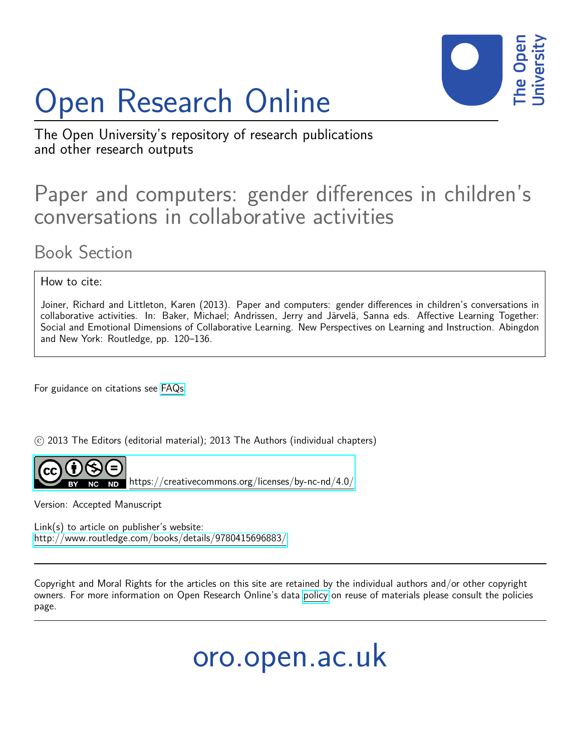# Open Research Online



The Open University's repository of research publications and other research outputs

# Paper and computers: gender differences in children's conversations in collaborative activities

Book Section

How to cite:

Joiner, Richard and Littleton, Karen (2013). Paper and computers: gender differences in children's conversations in collaborative activities. In: Baker, Michael; Andrissen, Jerry and Järvelä, Sanna eds. Affective Learning Together: Social and Emotional Dimensions of Collaborative Learning. New Perspectives on Learning and Instruction. Abingdon and New York: Routledge, pp. 120–136.

For guidance on citations see [FAQs.](http://oro.open.ac.uk/help/helpfaq.html)

c 2013 The Editors (editorial material); 2013 The Authors (individual chapters)



 $ND$  <https://creativecommons.org/licenses/by-nc-nd/4.0/>

Version: Accepted Manuscript

Link(s) to article on publisher's website: <http://www.routledge.com/books/details/9780415696883/>

Copyright and Moral Rights for the articles on this site are retained by the individual authors and/or other copyright owners. For more information on Open Research Online's data [policy](http://oro.open.ac.uk/policies.html) on reuse of materials please consult the policies page.

oro.open.ac.uk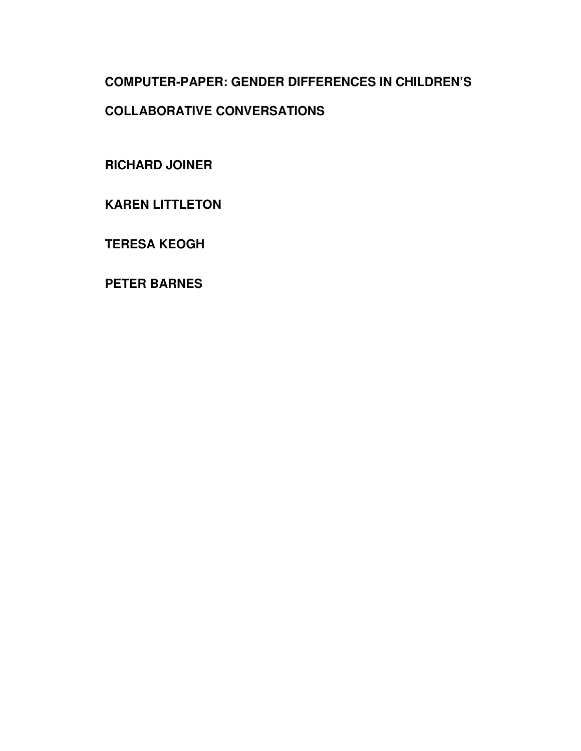# **COMPUTER-PAPER: GENDER DIFFERENCES IN CHILDREN'S COLLABORATIVE CONVERSATIONS**

**RICHARD JOINER** 

**KAREN LITTLETON** 

**TERESA KEOGH** 

**PETER BARNES**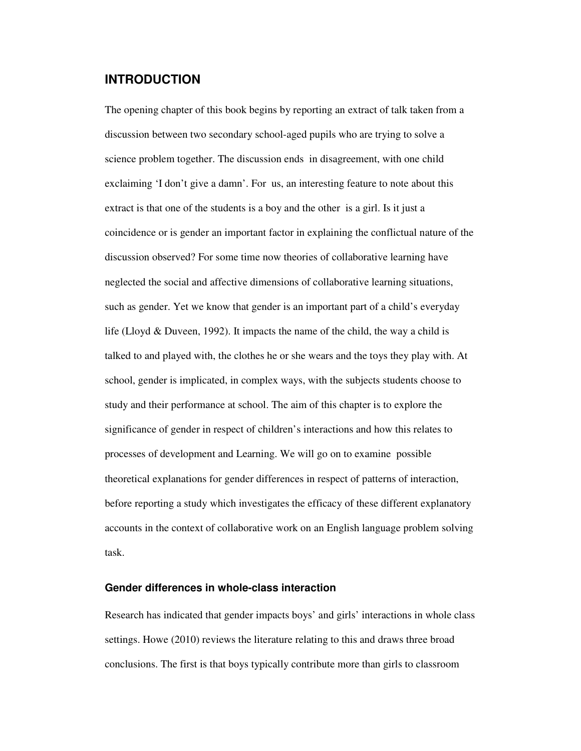## **INTRODUCTION**

The opening chapter of this book begins by reporting an extract of talk taken from a discussion between two secondary school-aged pupils who are trying to solve a science problem together. The discussion ends in disagreement, with one child exclaiming 'I don't give a damn'. For us, an interesting feature to note about this extract is that one of the students is a boy and the other is a girl. Is it just a coincidence or is gender an important factor in explaining the conflictual nature of the discussion observed? For some time now theories of collaborative learning have neglected the social and affective dimensions of collaborative learning situations, such as gender. Yet we know that gender is an important part of a child's everyday life (Lloyd & Duveen, 1992). It impacts the name of the child, the way a child is talked to and played with, the clothes he or she wears and the toys they play with. At school, gender is implicated, in complex ways, with the subjects students choose to study and their performance at school. The aim of this chapter is to explore the significance of gender in respect of children's interactions and how this relates to processes of development and Learning. We will go on to examine possible theoretical explanations for gender differences in respect of patterns of interaction, before reporting a study which investigates the efficacy of these different explanatory accounts in the context of collaborative work on an English language problem solving task.

#### **Gender differences in whole-class interaction**

Research has indicated that gender impacts boys' and girls' interactions in whole class settings. Howe (2010) reviews the literature relating to this and draws three broad conclusions. The first is that boys typically contribute more than girls to classroom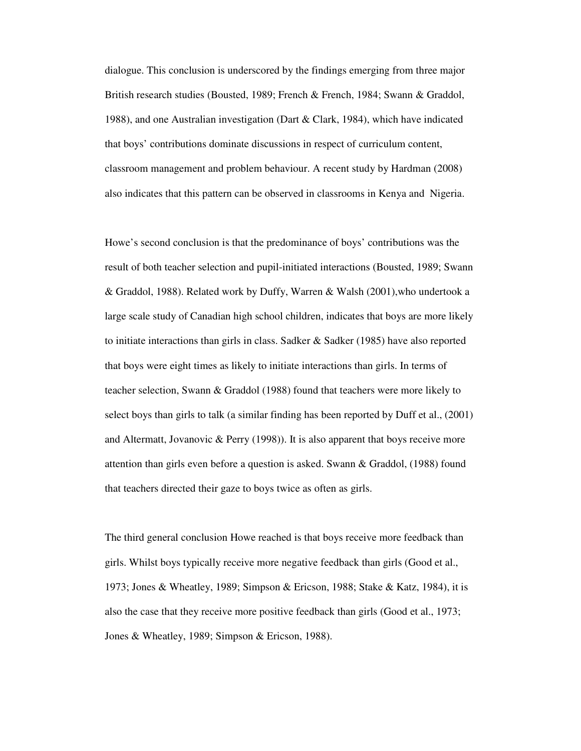dialogue. This conclusion is underscored by the findings emerging from three major British research studies (Bousted, 1989; French & French, 1984; Swann & Graddol, 1988), and one Australian investigation (Dart & Clark, 1984), which have indicated that boys' contributions dominate discussions in respect of curriculum content, classroom management and problem behaviour. A recent study by Hardman (2008) also indicates that this pattern can be observed in classrooms in Kenya and Nigeria.

Howe's second conclusion is that the predominance of boys' contributions was the result of both teacher selection and pupil-initiated interactions (Bousted, 1989; Swann & Graddol, 1988). Related work by Duffy, Warren & Walsh (2001),who undertook a large scale study of Canadian high school children, indicates that boys are more likely to initiate interactions than girls in class. Sadker  $\&$  Sadker (1985) have also reported that boys were eight times as likely to initiate interactions than girls. In terms of teacher selection, Swann & Graddol (1988) found that teachers were more likely to select boys than girls to talk (a similar finding has been reported by Duff et al., (2001) and Altermatt, Jovanovic & Perry (1998)). It is also apparent that boys receive more attention than girls even before a question is asked. Swann & Graddol, (1988) found that teachers directed their gaze to boys twice as often as girls.

The third general conclusion Howe reached is that boys receive more feedback than girls. Whilst boys typically receive more negative feedback than girls (Good et al., 1973; Jones & Wheatley, 1989; Simpson & Ericson, 1988; Stake & Katz, 1984), it is also the case that they receive more positive feedback than girls (Good et al., 1973; Jones & Wheatley, 1989; Simpson & Ericson, 1988).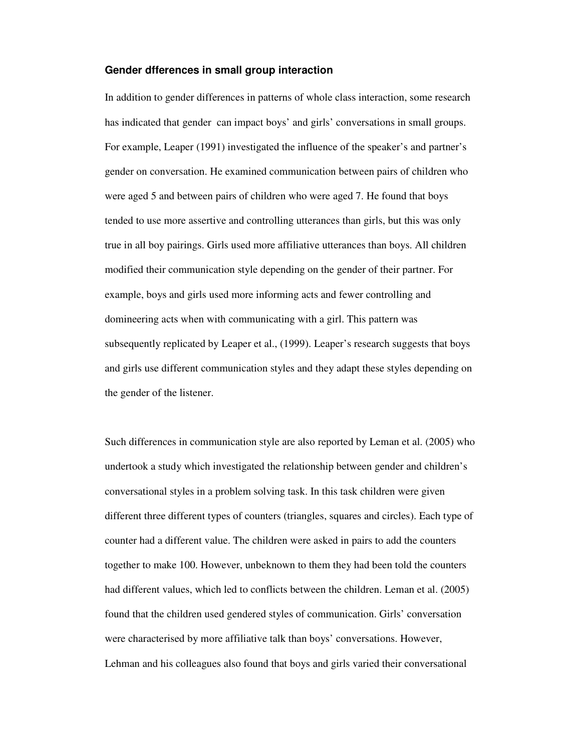#### **Gender dfferences in small group interaction**

In addition to gender differences in patterns of whole class interaction, some research has indicated that gender can impact boys' and girls' conversations in small groups. For example, Leaper (1991) investigated the influence of the speaker's and partner's gender on conversation. He examined communication between pairs of children who were aged 5 and between pairs of children who were aged 7. He found that boys tended to use more assertive and controlling utterances than girls, but this was only true in all boy pairings. Girls used more affiliative utterances than boys. All children modified their communication style depending on the gender of their partner. For example, boys and girls used more informing acts and fewer controlling and domineering acts when with communicating with a girl. This pattern was subsequently replicated by Leaper et al., (1999). Leaper's research suggests that boys and girls use different communication styles and they adapt these styles depending on the gender of the listener.

Such differences in communication style are also reported by Leman et al. (2005) who undertook a study which investigated the relationship between gender and children's conversational styles in a problem solving task. In this task children were given different three different types of counters (triangles, squares and circles). Each type of counter had a different value. The children were asked in pairs to add the counters together to make 100. However, unbeknown to them they had been told the counters had different values, which led to conflicts between the children. Leman et al. (2005) found that the children used gendered styles of communication. Girls' conversation were characterised by more affiliative talk than boys' conversations. However, Lehman and his colleagues also found that boys and girls varied their conversational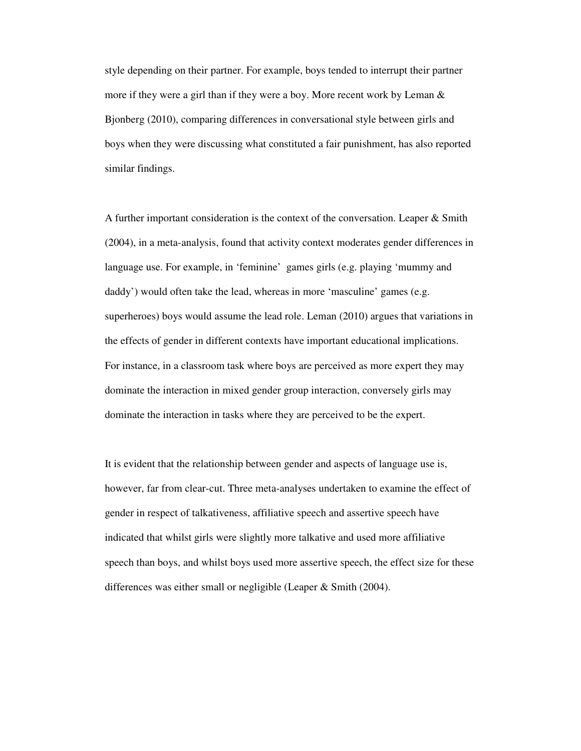style depending on their partner. For example, boys tended to interrupt their partner more if they were a girl than if they were a boy. More recent work by Leman & Bjonberg (2010), comparing differences in conversational style between girls and boys when they were discussing what constituted a fair punishment, has also reported similar findings.

A further important consideration is the context of the conversation. Leaper & Smith (2004), in a meta-analysis, found that activity context moderates gender differences in language use. For example, in 'feminine' games girls (e.g. playing 'mummy and daddy') would often take the lead, whereas in more 'masculine' games (e.g. superheroes) boys would assume the lead role. Leman (2010) argues that variations in the effects of gender in different contexts have important educational implications. For instance, in a classroom task where boys are perceived as more expert they may dominate the interaction in mixed gender group interaction, conversely girls may dominate the interaction in tasks where they are perceived to be the expert.

It is evident that the relationship between gender and aspects of language use is, however, far from clear-cut. Three meta-analyses undertaken to examine the effect of gender in respect of talkativeness, affiliative speech and assertive speech have indicated that whilst girls were slightly more talkative and used more affiliative speech than boys, and whilst boys used more assertive speech, the effect size for these differences was either small or negligible (Leaper & Smith (2004).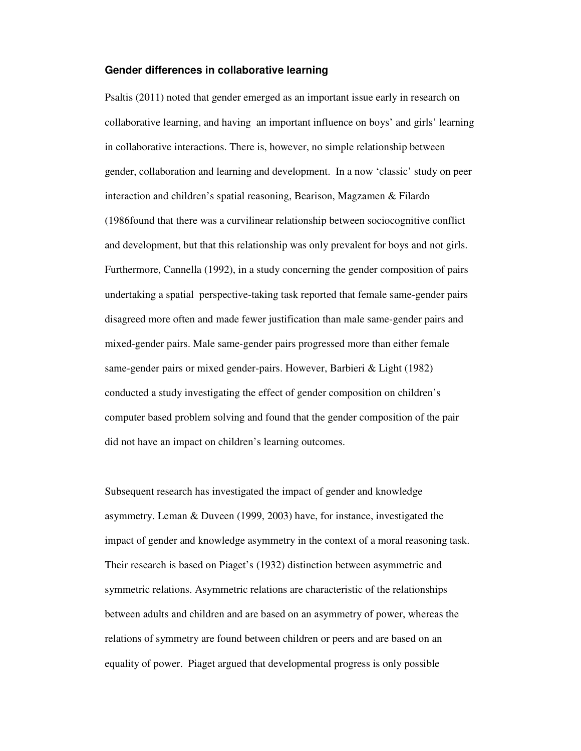#### **Gender differences in collaborative learning**

Psaltis (2011) noted that gender emerged as an important issue early in research on collaborative learning, and having an important influence on boys' and girls' learning in collaborative interactions. There is, however, no simple relationship between gender, collaboration and learning and development. In a now 'classic' study on peer interaction and children's spatial reasoning, Bearison, Magzamen & Filardo (1986found that there was a curvilinear relationship between sociocognitive conflict and development, but that this relationship was only prevalent for boys and not girls. Furthermore, Cannella (1992), in a study concerning the gender composition of pairs undertaking a spatial perspective-taking task reported that female same-gender pairs disagreed more often and made fewer justification than male same-gender pairs and mixed-gender pairs. Male same-gender pairs progressed more than either female same-gender pairs or mixed gender-pairs. However, Barbieri & Light (1982) conducted a study investigating the effect of gender composition on children's computer based problem solving and found that the gender composition of the pair did not have an impact on children's learning outcomes.

Subsequent research has investigated the impact of gender and knowledge asymmetry. Leman & Duveen (1999, 2003) have, for instance, investigated the impact of gender and knowledge asymmetry in the context of a moral reasoning task. Their research is based on Piaget's (1932) distinction between asymmetric and symmetric relations. Asymmetric relations are characteristic of the relationships between adults and children and are based on an asymmetry of power, whereas the relations of symmetry are found between children or peers and are based on an equality of power. Piaget argued that developmental progress is only possible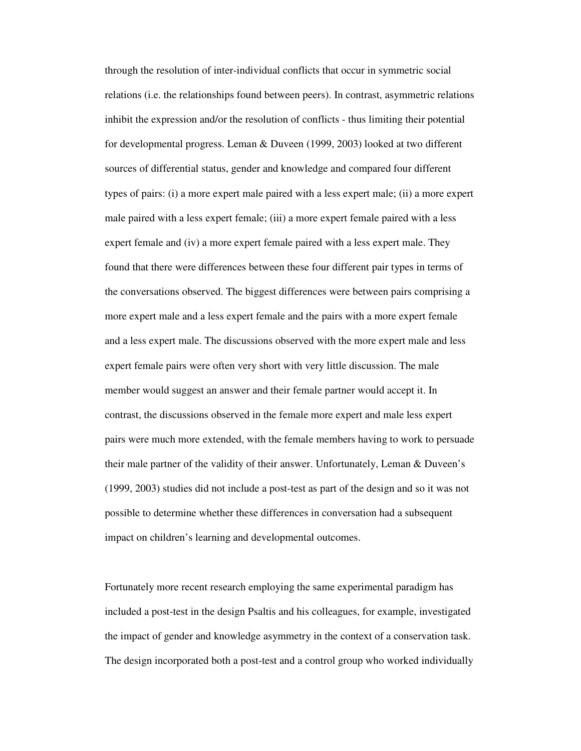through the resolution of inter-individual conflicts that occur in symmetric social relations (i.e. the relationships found between peers). In contrast, asymmetric relations inhibit the expression and/or the resolution of conflicts - thus limiting their potential for developmental progress. Leman & Duveen (1999, 2003) looked at two different sources of differential status, gender and knowledge and compared four different types of pairs: (i) a more expert male paired with a less expert male; (ii) a more expert male paired with a less expert female; (iii) a more expert female paired with a less expert female and (iv) a more expert female paired with a less expert male. They found that there were differences between these four different pair types in terms of the conversations observed. The biggest differences were between pairs comprising a more expert male and a less expert female and the pairs with a more expert female and a less expert male. The discussions observed with the more expert male and less expert female pairs were often very short with very little discussion. The male member would suggest an answer and their female partner would accept it. In contrast, the discussions observed in the female more expert and male less expert pairs were much more extended, with the female members having to work to persuade their male partner of the validity of their answer. Unfortunately, Leman & Duveen's (1999, 2003) studies did not include a post-test as part of the design and so it was not possible to determine whether these differences in conversation had a subsequent impact on children's learning and developmental outcomes.

Fortunately more recent research employing the same experimental paradigm has included a post-test in the design Psaltis and his colleagues, for example, investigated the impact of gender and knowledge asymmetry in the context of a conservation task. The design incorporated both a post-test and a control group who worked individually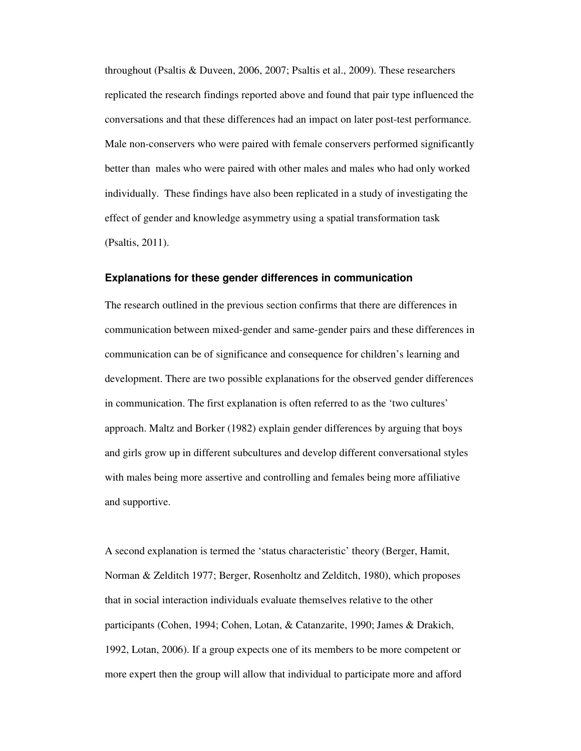throughout (Psaltis & Duveen, 2006, 2007; Psaltis et al., 2009). These researchers replicated the research findings reported above and found that pair type influenced the conversations and that these differences had an impact on later post-test performance. Male non-conservers who were paired with female conservers performed significantly better than males who were paired with other males and males who had only worked individually. These findings have also been replicated in a study of investigating the effect of gender and knowledge asymmetry using a spatial transformation task (Psaltis, 2011).

#### **Explanations for these gender differences in communication**

The research outlined in the previous section confirms that there are differences in communication between mixed-gender and same-gender pairs and these differences in communication can be of significance and consequence for children's learning and development. There are two possible explanations for the observed gender differences in communication. The first explanation is often referred to as the 'two cultures' approach. Maltz and Borker (1982) explain gender differences by arguing that boys and girls grow up in different subcultures and develop different conversational styles with males being more assertive and controlling and females being more affiliative and supportive.

A second explanation is termed the 'status characteristic' theory (Berger, Hamit, Norman & Zelditch 1977; Berger, Rosenholtz and Zelditch, 1980), which proposes that in social interaction individuals evaluate themselves relative to the other participants (Cohen, 1994; Cohen, Lotan, & Catanzarite, 1990; James & Drakich, 1992, Lotan, 2006). If a group expects one of its members to be more competent or more expert then the group will allow that individual to participate more and afford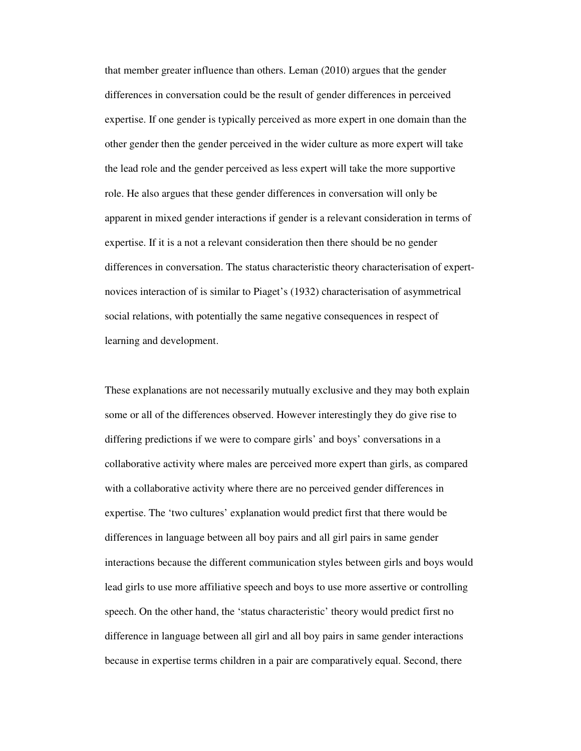that member greater influence than others. Leman (2010) argues that the gender differences in conversation could be the result of gender differences in perceived expertise. If one gender is typically perceived as more expert in one domain than the other gender then the gender perceived in the wider culture as more expert will take the lead role and the gender perceived as less expert will take the more supportive role. He also argues that these gender differences in conversation will only be apparent in mixed gender interactions if gender is a relevant consideration in terms of expertise. If it is a not a relevant consideration then there should be no gender differences in conversation. The status characteristic theory characterisation of expertnovices interaction of is similar to Piaget's (1932) characterisation of asymmetrical social relations, with potentially the same negative consequences in respect of learning and development.

These explanations are not necessarily mutually exclusive and they may both explain some or all of the differences observed. However interestingly they do give rise to differing predictions if we were to compare girls' and boys' conversations in a collaborative activity where males are perceived more expert than girls, as compared with a collaborative activity where there are no perceived gender differences in expertise. The 'two cultures' explanation would predict first that there would be differences in language between all boy pairs and all girl pairs in same gender interactions because the different communication styles between girls and boys would lead girls to use more affiliative speech and boys to use more assertive or controlling speech. On the other hand, the 'status characteristic' theory would predict first no difference in language between all girl and all boy pairs in same gender interactions because in expertise terms children in a pair are comparatively equal. Second, there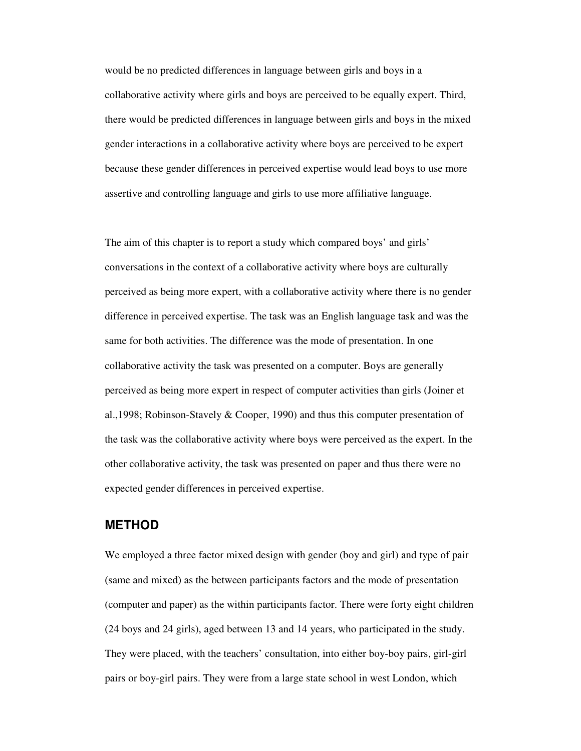would be no predicted differences in language between girls and boys in a collaborative activity where girls and boys are perceived to be equally expert. Third, there would be predicted differences in language between girls and boys in the mixed gender interactions in a collaborative activity where boys are perceived to be expert because these gender differences in perceived expertise would lead boys to use more assertive and controlling language and girls to use more affiliative language.

The aim of this chapter is to report a study which compared boys' and girls' conversations in the context of a collaborative activity where boys are culturally perceived as being more expert, with a collaborative activity where there is no gender difference in perceived expertise. The task was an English language task and was the same for both activities. The difference was the mode of presentation. In one collaborative activity the task was presented on a computer. Boys are generally perceived as being more expert in respect of computer activities than girls (Joiner et al.,1998; Robinson-Stavely & Cooper, 1990) and thus this computer presentation of the task was the collaborative activity where boys were perceived as the expert. In the other collaborative activity, the task was presented on paper and thus there were no expected gender differences in perceived expertise.

### **METHOD**

We employed a three factor mixed design with gender (boy and girl) and type of pair (same and mixed) as the between participants factors and the mode of presentation (computer and paper) as the within participants factor. There were forty eight children (24 boys and 24 girls), aged between 13 and 14 years, who participated in the study. They were placed, with the teachers' consultation, into either boy-boy pairs, girl-girl pairs or boy-girl pairs. They were from a large state school in west London, which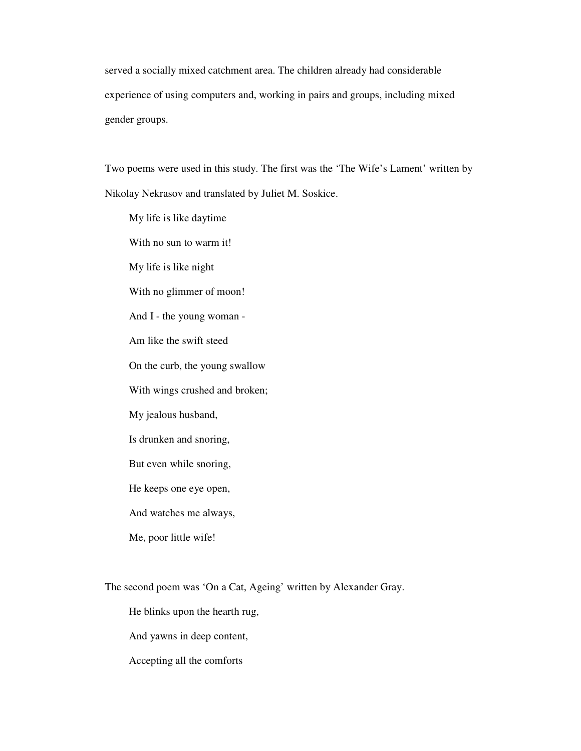served a socially mixed catchment area. The children already had considerable experience of using computers and, working in pairs and groups, including mixed gender groups.

Two poems were used in this study. The first was the 'The Wife's Lament' written by Nikolay Nekrasov and translated by Juliet M. Soskice.

My life is like daytime With no sun to warm it! My life is like night With no glimmer of moon! And I - the young woman - Am like the swift steed On the curb, the young swallow With wings crushed and broken; My jealous husband, Is drunken and snoring, But even while snoring, He keeps one eye open, And watches me always, Me, poor little wife!

The second poem was 'On a Cat, Ageing' written by Alexander Gray.

He blinks upon the hearth rug,

And yawns in deep content,

Accepting all the comforts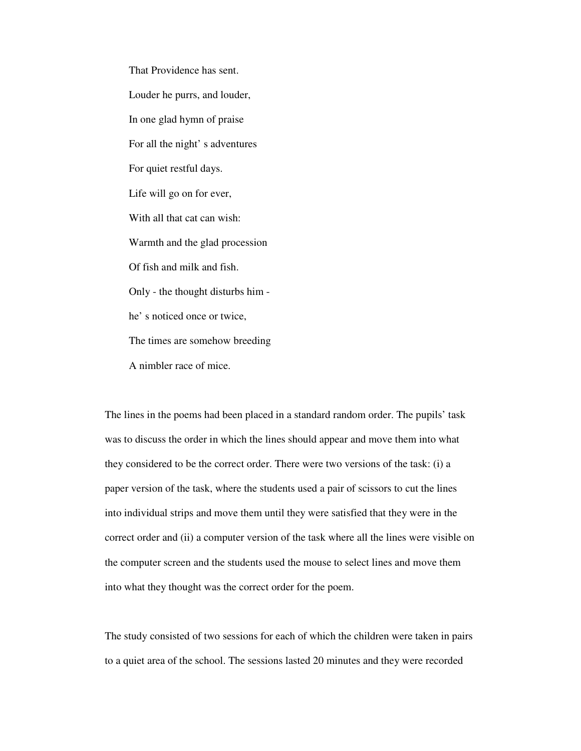That Providence has sent. Louder he purrs, and louder, In one glad hymn of praise For all the night' s adventures For quiet restful days. Life will go on for ever, With all that cat can wish: Warmth and the glad procession Of fish and milk and fish. Only - the thought disturbs him he' s noticed once or twice, The times are somehow breeding A nimbler race of mice.

The lines in the poems had been placed in a standard random order. The pupils' task was to discuss the order in which the lines should appear and move them into what they considered to be the correct order. There were two versions of the task: (i) a paper version of the task, where the students used a pair of scissors to cut the lines into individual strips and move them until they were satisfied that they were in the correct order and (ii) a computer version of the task where all the lines were visible on the computer screen and the students used the mouse to select lines and move them into what they thought was the correct order for the poem.

The study consisted of two sessions for each of which the children were taken in pairs to a quiet area of the school. The sessions lasted 20 minutes and they were recorded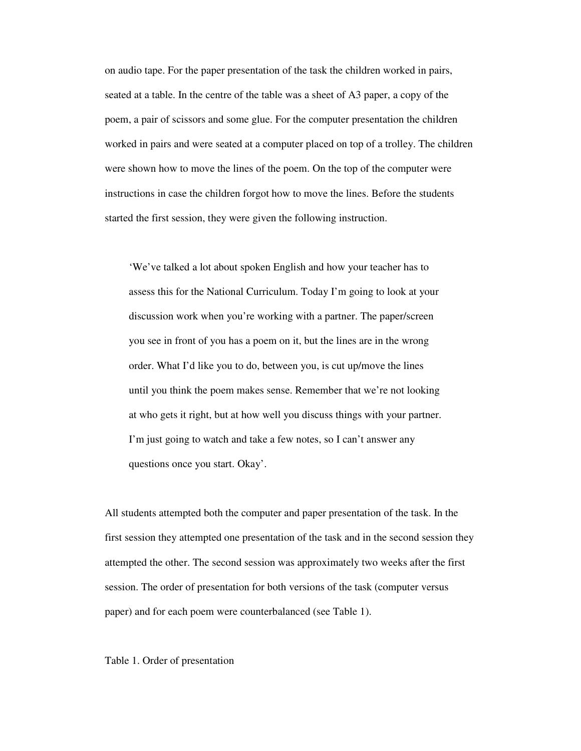on audio tape. For the paper presentation of the task the children worked in pairs, seated at a table. In the centre of the table was a sheet of A3 paper, a copy of the poem, a pair of scissors and some glue. For the computer presentation the children worked in pairs and were seated at a computer placed on top of a trolley. The children were shown how to move the lines of the poem. On the top of the computer were instructions in case the children forgot how to move the lines. Before the students started the first session, they were given the following instruction.

'We've talked a lot about spoken English and how your teacher has to assess this for the National Curriculum. Today I'm going to look at your discussion work when you're working with a partner. The paper/screen you see in front of you has a poem on it, but the lines are in the wrong order. What I'd like you to do, between you, is cut up/move the lines until you think the poem makes sense. Remember that we're not looking at who gets it right, but at how well you discuss things with your partner. I'm just going to watch and take a few notes, so I can't answer any questions once you start. Okay'.

All students attempted both the computer and paper presentation of the task. In the first session they attempted one presentation of the task and in the second session they attempted the other. The second session was approximately two weeks after the first session. The order of presentation for both versions of the task (computer versus paper) and for each poem were counterbalanced (see Table 1).

#### Table 1. Order of presentation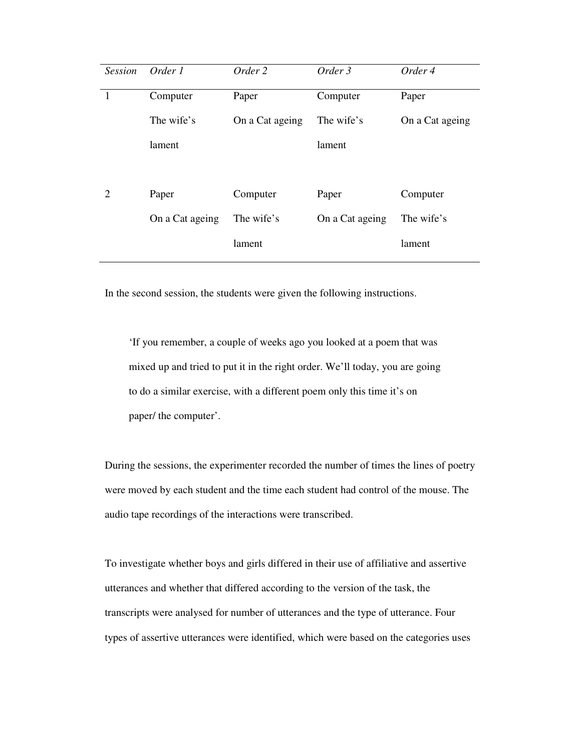| <b>Session</b> | Order 1         | Order 2         | Order 3         | Order 4         |
|----------------|-----------------|-----------------|-----------------|-----------------|
|                | Computer        | Paper           | Computer        | Paper           |
|                | The wife's      | On a Cat ageing | The wife's      | On a Cat ageing |
|                | lament          |                 | lament          |                 |
|                |                 |                 |                 |                 |
| 2              | Paper           | Computer        | Paper           | Computer        |
|                | On a Cat ageing | The wife's      | On a Cat ageing | The wife's      |
|                |                 | lament          |                 | lament          |
|                |                 |                 |                 |                 |

In the second session, the students were given the following instructions.

'If you remember, a couple of weeks ago you looked at a poem that was mixed up and tried to put it in the right order. We'll today, you are going to do a similar exercise, with a different poem only this time it's on paper/ the computer'.

During the sessions, the experimenter recorded the number of times the lines of poetry were moved by each student and the time each student had control of the mouse. The audio tape recordings of the interactions were transcribed.

To investigate whether boys and girls differed in their use of affiliative and assertive utterances and whether that differed according to the version of the task, the transcripts were analysed for number of utterances and the type of utterance. Four types of assertive utterances were identified, which were based on the categories uses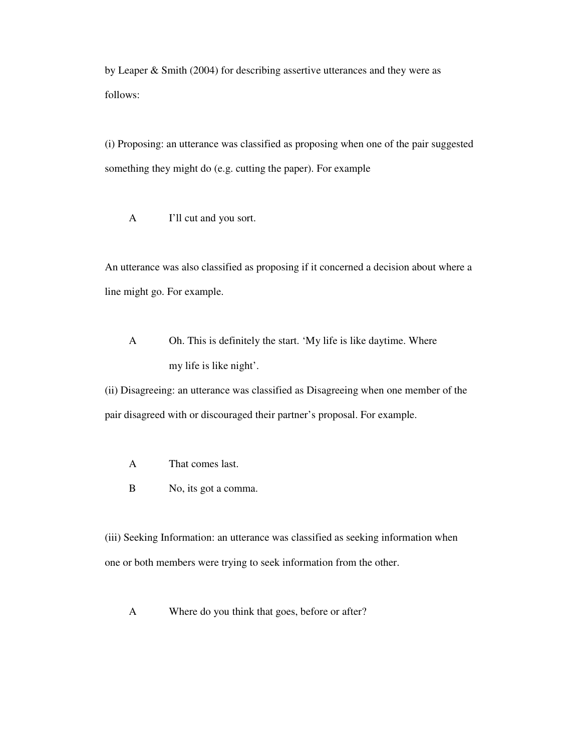by Leaper & Smith (2004) for describing assertive utterances and they were as follows:

(i) Proposing: an utterance was classified as proposing when one of the pair suggested something they might do (e.g. cutting the paper). For example

A I'll cut and you sort.

An utterance was also classified as proposing if it concerned a decision about where a line might go. For example.

A Oh. This is definitely the start. 'My life is like daytime. Where my life is like night'.

(ii) Disagreeing: an utterance was classified as Disagreeing when one member of the pair disagreed with or discouraged their partner's proposal. For example.

- A That comes last.
- B No, its got a comma.

(iii) Seeking Information: an utterance was classified as seeking information when one or both members were trying to seek information from the other.

A Where do you think that goes, before or after?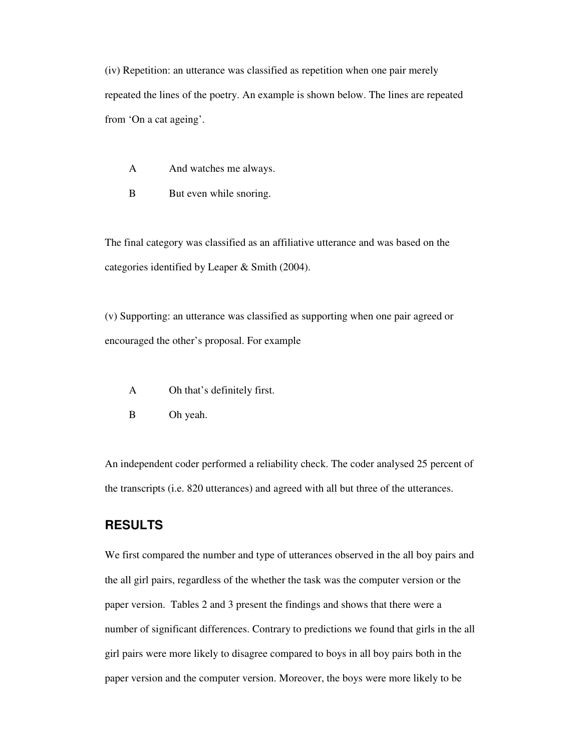(iv) Repetition: an utterance was classified as repetition when one pair merely repeated the lines of the poetry. An example is shown below. The lines are repeated from 'On a cat ageing'.

- A And watches me always.
- B But even while snoring.

The final category was classified as an affiliative utterance and was based on the categories identified by Leaper & Smith (2004).

(v) Supporting: an utterance was classified as supporting when one pair agreed or encouraged the other's proposal. For example

- A Oh that's definitely first.
- B Oh yeah.

An independent coder performed a reliability check. The coder analysed 25 percent of the transcripts (i.e. 820 utterances) and agreed with all but three of the utterances.

# **RESULTS**

We first compared the number and type of utterances observed in the all boy pairs and the all girl pairs, regardless of the whether the task was the computer version or the paper version. Tables 2 and 3 present the findings and shows that there were a number of significant differences. Contrary to predictions we found that girls in the all girl pairs were more likely to disagree compared to boys in all boy pairs both in the paper version and the computer version. Moreover, the boys were more likely to be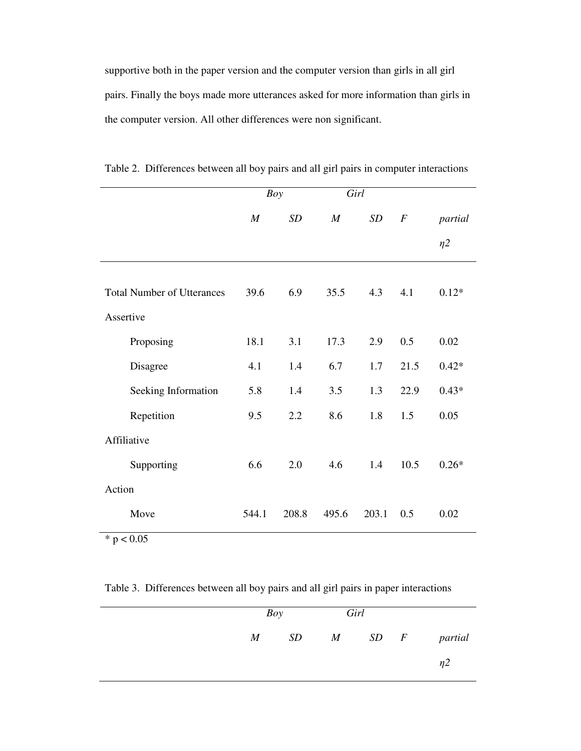supportive both in the paper version and the computer version than girls in all girl pairs. Finally the boys made more utterances asked for more information than girls in the computer version. All other differences were non significant.

|                                   | <b>Boy</b>       |       | Girl             |       |                  |          |
|-----------------------------------|------------------|-------|------------------|-------|------------------|----------|
|                                   | $\boldsymbol{M}$ | SD    | $\boldsymbol{M}$ | SD    | $\boldsymbol{F}$ | partial  |
|                                   |                  |       |                  |       |                  | $\eta$ 2 |
| <b>Total Number of Utterances</b> | 39.6             | 6.9   | 35.5             | 4.3   | 4.1              | $0.12*$  |
| Assertive                         |                  |       |                  |       |                  |          |
| Proposing                         | 18.1             | 3.1   | 17.3             | 2.9   | 0.5              | 0.02     |
| Disagree                          | 4.1              | 1.4   | 6.7              | 1.7   | 21.5             | $0.42*$  |
| Seeking Information               | 5.8              | 1.4   | 3.5              | 1.3   | 22.9             | $0.43*$  |
| Repetition                        | 9.5              | 2.2   | 8.6              | 1.8   | 1.5              | 0.05     |
| Affiliative                       |                  |       |                  |       |                  |          |
| Supporting                        | 6.6              | 2.0   | 4.6              | 1.4   | 10.5             | $0.26*$  |
| Action                            |                  |       |                  |       |                  |          |
| Move                              | 544.1            | 208.8 | 495.6            | 203.1 | 0.5              | 0.02     |

Table 2. Differences between all boy pairs and all girl pairs in computer interactions

 $* p < 0.05$ 

Table 3. Differences between all boy pairs and all girl pairs in paper interactions

| Boy |  | Girl |  |                     |
|-----|--|------|--|---------------------|
|     |  |      |  | M SD M SD F partial |
|     |  |      |  | η2                  |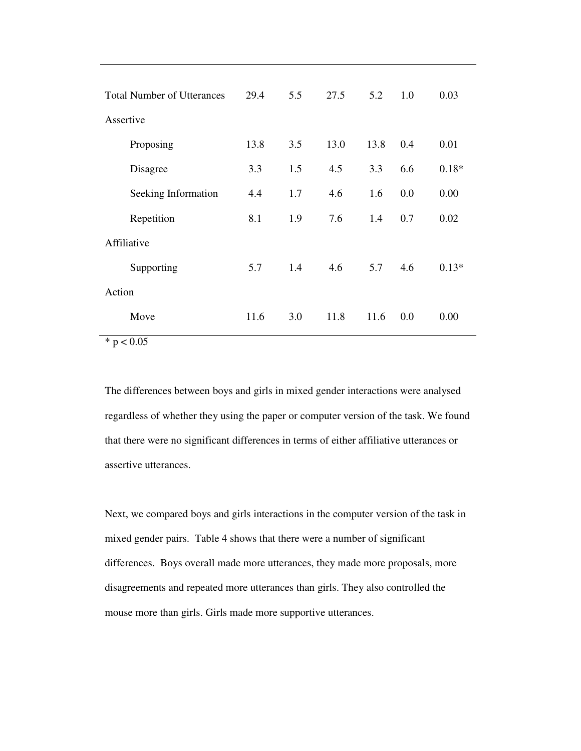| <b>Total Number of Utterances</b>       | 29.4 | 5.5 | 27.5 | 5.2  | 1.0 | 0.03    |
|-----------------------------------------|------|-----|------|------|-----|---------|
| Assertive                               |      |     |      |      |     |         |
| Proposing                               | 13.8 | 3.5 | 13.0 | 13.8 | 0.4 | 0.01    |
| Disagree                                | 3.3  | 1.5 | 4.5  | 3.3  | 6.6 | $0.18*$ |
| Seeking Information                     | 4.4  | 1.7 | 4.6  | 1.6  | 0.0 | 0.00    |
| Repetition                              | 8.1  | 1.9 | 7.6  | 1.4  | 0.7 | 0.02    |
| Affiliative                             |      |     |      |      |     |         |
| Supporting                              | 5.7  | 1.4 | 4.6  | 5.7  | 4.6 | $0.13*$ |
| Action                                  |      |     |      |      |     |         |
| Move                                    | 11.6 | 3.0 | 11.8 | 11.6 | 0.0 | 0.00    |
| $\mathbf{A}$<br>$\cap$ $\cap$ $\subset$ |      |     |      |      |     |         |

 $* p < 0.05$ 

The differences between boys and girls in mixed gender interactions were analysed regardless of whether they using the paper or computer version of the task. We found that there were no significant differences in terms of either affiliative utterances or assertive utterances.

Next, we compared boys and girls interactions in the computer version of the task in mixed gender pairs. Table 4 shows that there were a number of significant differences. Boys overall made more utterances, they made more proposals, more disagreements and repeated more utterances than girls. They also controlled the mouse more than girls. Girls made more supportive utterances.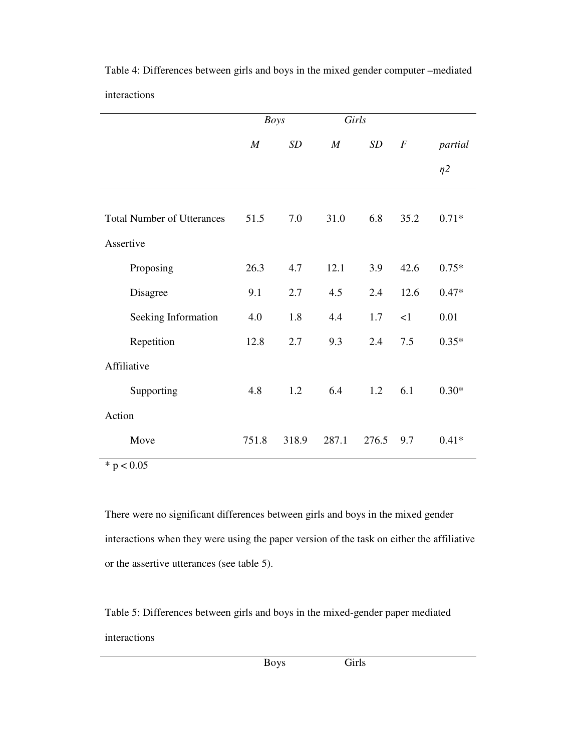|                                   | <b>Boys</b> |       | Girls            |       |                  |          |
|-----------------------------------|-------------|-------|------------------|-------|------------------|----------|
|                                   | M           | SD    | $\boldsymbol{M}$ | SD    | $\boldsymbol{F}$ | partial  |
|                                   |             |       |                  |       |                  | $\eta$ 2 |
| <b>Total Number of Utterances</b> | 51.5        | 7.0   | 31.0             | 6.8   | 35.2             | $0.71*$  |
| Assertive                         |             |       |                  |       |                  |          |
| Proposing                         | 26.3        | 4.7   | 12.1             | 3.9   | 42.6             | $0.75*$  |
| Disagree                          | 9.1         | 2.7   | 4.5              | 2.4   | 12.6             | $0.47*$  |
| Seeking Information               | 4.0         | 1.8   | 4.4              | 1.7   | <1               | 0.01     |
| Repetition                        | 12.8        | 2.7   | 9.3              | 2.4   | 7.5              | $0.35*$  |
| Affiliative                       |             |       |                  |       |                  |          |
| Supporting                        | 4.8         | 1.2   | 6.4              | 1.2   | 6.1              | $0.30*$  |
| Action                            |             |       |                  |       |                  |          |
| Move                              | 751.8       | 318.9 | 287.1            | 276.5 | 9.7              | $0.41*$  |

Table 4: Differences between girls and boys in the mixed gender computer –mediated interactions

 $* p < 0.05$ 

There were no significant differences between girls and boys in the mixed gender interactions when they were using the paper version of the task on either the affiliative or the assertive utterances (see table 5).

Table 5: Differences between girls and boys in the mixed-gender paper mediated interactions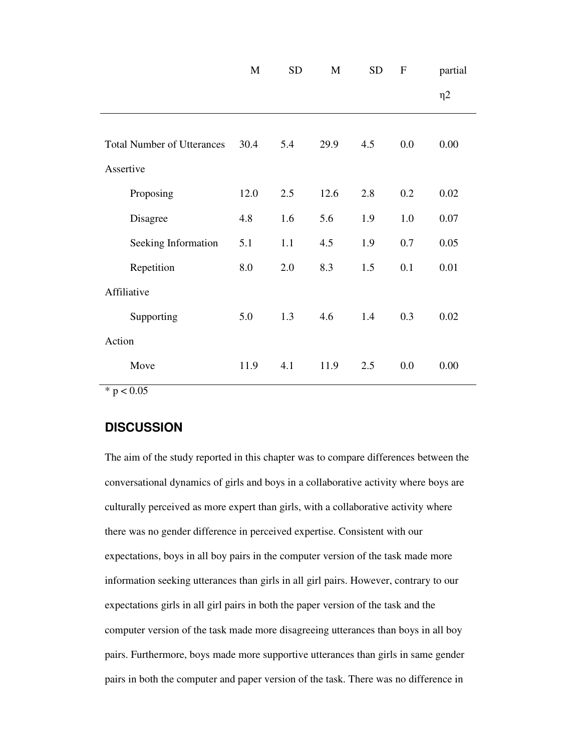|                                   | M    | <b>SD</b> | M    | <b>SD</b> | $\boldsymbol{\mathrm{F}}$ | partial  |
|-----------------------------------|------|-----------|------|-----------|---------------------------|----------|
|                                   |      |           |      |           |                           | $\eta$ 2 |
|                                   |      |           |      |           |                           |          |
| <b>Total Number of Utterances</b> | 30.4 | 5.4       | 29.9 | 4.5       | 0.0                       | 0.00     |
| Assertive                         |      |           |      |           |                           |          |
| Proposing                         | 12.0 | 2.5       | 12.6 | 2.8       | 0.2                       | 0.02     |
| Disagree                          | 4.8  | 1.6       | 5.6  | 1.9       | 1.0                       | 0.07     |
| Seeking Information               | 5.1  | 1.1       | 4.5  | 1.9       | 0.7                       | 0.05     |
| Repetition                        | 8.0  | 2.0       | 8.3  | 1.5       | 0.1                       | 0.01     |
| Affiliative                       |      |           |      |           |                           |          |
| Supporting                        | 5.0  | 1.3       | 4.6  | 1.4       | 0.3                       | 0.02     |
| Action                            |      |           |      |           |                           |          |
| Move                              | 11.9 | 4.1       | 11.9 | 2.5       | 0.0                       | 0.00     |

 $*$  p < 0.05

# **DISCUSSION**

The aim of the study reported in this chapter was to compare differences between the conversational dynamics of girls and boys in a collaborative activity where boys are culturally perceived as more expert than girls, with a collaborative activity where there was no gender difference in perceived expertise. Consistent with our expectations, boys in all boy pairs in the computer version of the task made more information seeking utterances than girls in all girl pairs. However, contrary to our expectations girls in all girl pairs in both the paper version of the task and the computer version of the task made more disagreeing utterances than boys in all boy pairs. Furthermore, boys made more supportive utterances than girls in same gender pairs in both the computer and paper version of the task. There was no difference in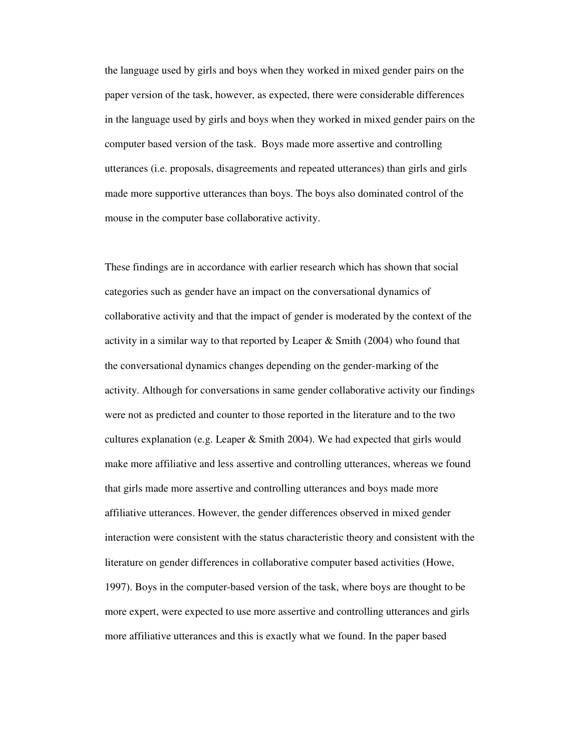the language used by girls and boys when they worked in mixed gender pairs on the paper version of the task, however, as expected, there were considerable differences in the language used by girls and boys when they worked in mixed gender pairs on the computer based version of the task. Boys made more assertive and controlling utterances (i.e. proposals, disagreements and repeated utterances) than girls and girls made more supportive utterances than boys. The boys also dominated control of the mouse in the computer base collaborative activity.

These findings are in accordance with earlier research which has shown that social categories such as gender have an impact on the conversational dynamics of collaborative activity and that the impact of gender is moderated by the context of the activity in a similar way to that reported by Leaper & Smith (2004) who found that the conversational dynamics changes depending on the gender-marking of the activity. Although for conversations in same gender collaborative activity our findings were not as predicted and counter to those reported in the literature and to the two cultures explanation (e.g. Leaper  $\&$  Smith 2004). We had expected that girls would make more affiliative and less assertive and controlling utterances, whereas we found that girls made more assertive and controlling utterances and boys made more affiliative utterances. However, the gender differences observed in mixed gender interaction were consistent with the status characteristic theory and consistent with the literature on gender differences in collaborative computer based activities (Howe, 1997). Boys in the computer-based version of the task, where boys are thought to be more expert, were expected to use more assertive and controlling utterances and girls more affiliative utterances and this is exactly what we found. In the paper based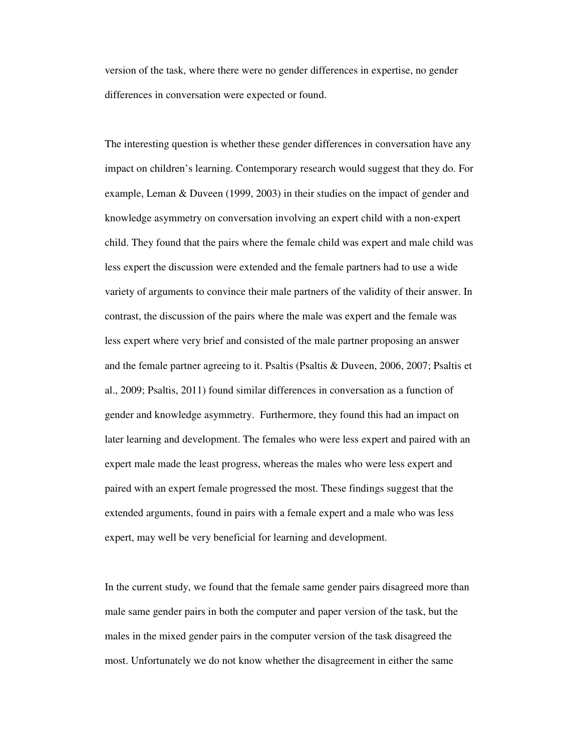version of the task, where there were no gender differences in expertise, no gender differences in conversation were expected or found.

The interesting question is whether these gender differences in conversation have any impact on children's learning. Contemporary research would suggest that they do. For example, Leman & Duveen (1999, 2003) in their studies on the impact of gender and knowledge asymmetry on conversation involving an expert child with a non-expert child. They found that the pairs where the female child was expert and male child was less expert the discussion were extended and the female partners had to use a wide variety of arguments to convince their male partners of the validity of their answer. In contrast, the discussion of the pairs where the male was expert and the female was less expert where very brief and consisted of the male partner proposing an answer and the female partner agreeing to it. Psaltis (Psaltis & Duveen, 2006, 2007; Psaltis et al., 2009; Psaltis, 2011) found similar differences in conversation as a function of gender and knowledge asymmetry. Furthermore, they found this had an impact on later learning and development. The females who were less expert and paired with an expert male made the least progress, whereas the males who were less expert and paired with an expert female progressed the most. These findings suggest that the extended arguments, found in pairs with a female expert and a male who was less expert, may well be very beneficial for learning and development.

In the current study, we found that the female same gender pairs disagreed more than male same gender pairs in both the computer and paper version of the task, but the males in the mixed gender pairs in the computer version of the task disagreed the most. Unfortunately we do not know whether the disagreement in either the same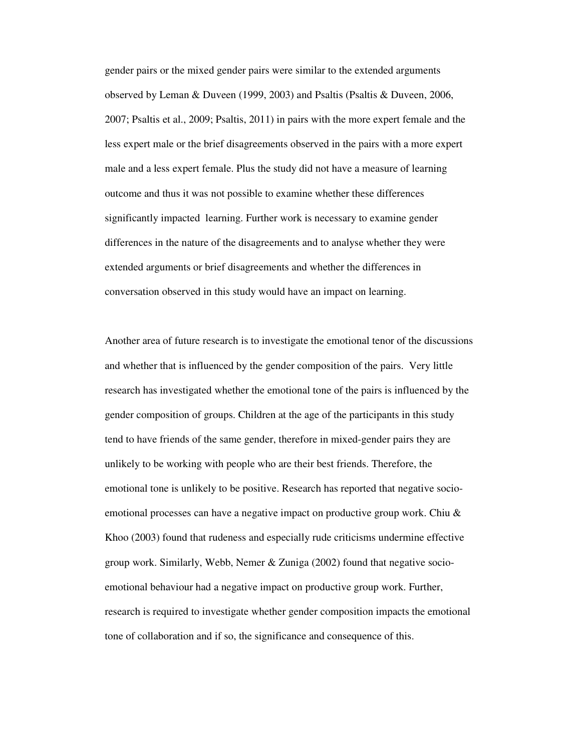gender pairs or the mixed gender pairs were similar to the extended arguments observed by Leman & Duveen (1999, 2003) and Psaltis (Psaltis & Duveen, 2006, 2007; Psaltis et al., 2009; Psaltis, 2011) in pairs with the more expert female and the less expert male or the brief disagreements observed in the pairs with a more expert male and a less expert female. Plus the study did not have a measure of learning outcome and thus it was not possible to examine whether these differences significantly impacted learning. Further work is necessary to examine gender differences in the nature of the disagreements and to analyse whether they were extended arguments or brief disagreements and whether the differences in conversation observed in this study would have an impact on learning.

Another area of future research is to investigate the emotional tenor of the discussions and whether that is influenced by the gender composition of the pairs. Very little research has investigated whether the emotional tone of the pairs is influenced by the gender composition of groups. Children at the age of the participants in this study tend to have friends of the same gender, therefore in mixed-gender pairs they are unlikely to be working with people who are their best friends. Therefore, the emotional tone is unlikely to be positive. Research has reported that negative socioemotional processes can have a negative impact on productive group work. Chiu & Khoo (2003) found that rudeness and especially rude criticisms undermine effective group work. Similarly, Webb, Nemer & Zuniga (2002) found that negative socioemotional behaviour had a negative impact on productive group work. Further, research is required to investigate whether gender composition impacts the emotional tone of collaboration and if so, the significance and consequence of this.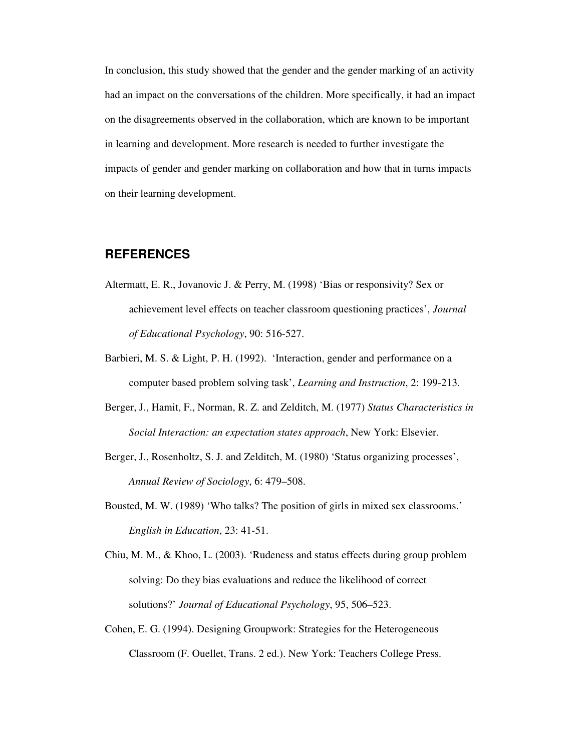In conclusion, this study showed that the gender and the gender marking of an activity had an impact on the conversations of the children. More specifically, it had an impact on the disagreements observed in the collaboration, which are known to be important in learning and development. More research is needed to further investigate the impacts of gender and gender marking on collaboration and how that in turns impacts on their learning development.

## **REFERENCES**

- Altermatt, E. R., Jovanovic J. & Perry, M. (1998) 'Bias or responsivity? Sex or achievement level effects on teacher classroom questioning practices', *Journal of Educational Psychology*, 90: 516-527.
- Barbieri, M. S. & Light, P. H. (1992). 'Interaction, gender and performance on a computer based problem solving task', *Learning and Instruction*, 2: 199-213.
- Berger, J., Hamit, F., Norman, R. Z. and Zelditch, M. (1977) *Status Characteristics in Social Interaction: an expectation states approach*, New York: Elsevier.
- Berger, J., Rosenholtz, S. J. and Zelditch, M. (1980) 'Status organizing processes', *Annual Review of Sociology*, 6: 479–508.
- Bousted, M. W. (1989) 'Who talks? The position of girls in mixed sex classrooms.' *English in Education*, 23: 41-51.
- Chiu, M. M., & Khoo, L. (2003). 'Rudeness and status effects during group problem solving: Do they bias evaluations and reduce the likelihood of correct solutions?' *Journal of Educational Psychology*, 95, 506–523.
- Cohen, E. G. (1994). Designing Groupwork: Strategies for the Heterogeneous Classroom (F. Ouellet, Trans. 2 ed.). New York: Teachers College Press.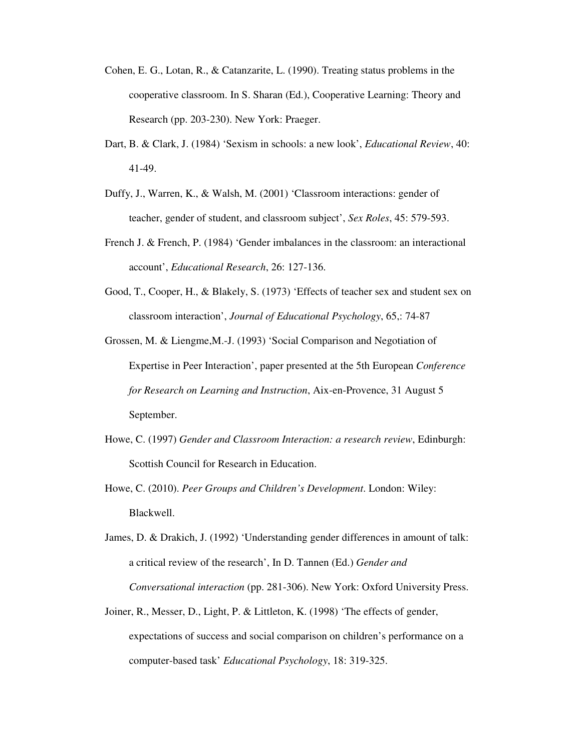- Cohen, E. G., Lotan, R., & Catanzarite, L. (1990). Treating status problems in the cooperative classroom. In S. Sharan (Ed.), Cooperative Learning: Theory and Research (pp. 203-230). New York: Praeger.
- Dart, B. & Clark, J. (1984) 'Sexism in schools: a new look', *Educational Review*, 40: 41-49.
- Duffy, J., Warren, K., & Walsh, M. (2001) 'Classroom interactions: gender of teacher, gender of student, and classroom subject', *Sex Roles*, 45: 579-593.
- French J. & French, P. (1984) 'Gender imbalances in the classroom: an interactional account', *Educational Research*, 26: 127-136.
- Good, T., Cooper, H., & Blakely, S. (1973) 'Effects of teacher sex and student sex on classroom interaction', *Journal of Educational Psychology*, 65,: 74-87
- Grossen, M. & Liengme,M.-J. (1993) 'Social Comparison and Negotiation of Expertise in Peer Interaction', paper presented at the 5th European *Conference for Research on Learning and Instruction*, Aix-en-Provence, 31 August 5 September.
- Howe, C. (1997) *Gender and Classroom Interaction: a research review*, Edinburgh: Scottish Council for Research in Education.
- Howe, C. (2010). *Peer Groups and Children's Development*. London: Wiley: Blackwell.
- James, D. & Drakich, J. (1992) 'Understanding gender differences in amount of talk: a critical review of the research', In D. Tannen (Ed.) *Gender and Conversational interaction* (pp. 281-306). New York: Oxford University Press.
- Joiner, R., Messer, D., Light, P. & Littleton, K. (1998) 'The effects of gender, expectations of success and social comparison on children's performance on a computer-based task' *Educational Psychology*, 18: 319-325.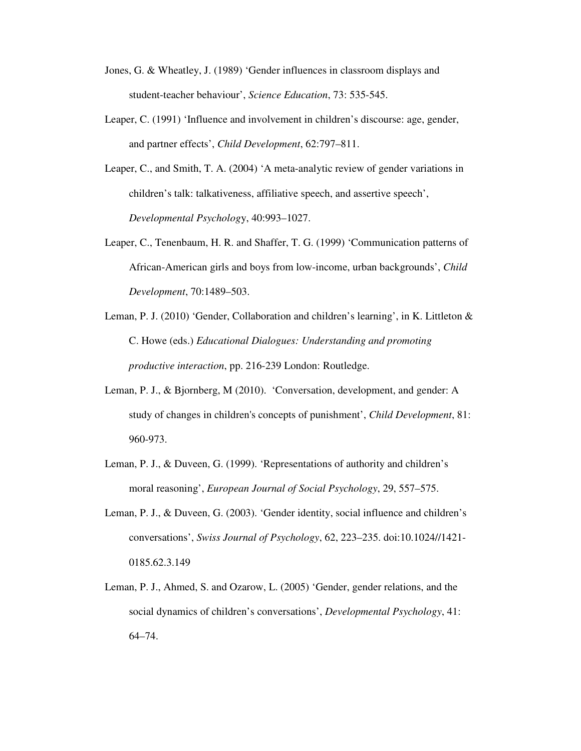- Jones, G. & Wheatley, J. (1989) 'Gender influences in classroom displays and student-teacher behaviour', *Science Education*, 73: 535-545.
- Leaper, C. (1991) 'Influence and involvement in children's discourse: age, gender, and partner effects', *Child Development*, 62:797–811.
- Leaper, C., and Smith, T. A. (2004) 'A meta-analytic review of gender variations in children's talk: talkativeness, affiliative speech, and assertive speech', *Developmental Psycholog*y, 40:993–1027.
- Leaper, C., Tenenbaum, H. R. and Shaffer, T. G. (1999) 'Communication patterns of African-American girls and boys from low-income, urban backgrounds', *Child Development*, 70:1489–503.
- Leman, P. J. (2010) 'Gender, Collaboration and children's learning', in K. Littleton & C. Howe (eds.) *Educational Dialogues: Understanding and promoting productive interaction*, pp. 216-239 London: Routledge.
- Leman, P. J., & Bjornberg, M (2010). 'Conversation, development, and gender: A study of changes in children's concepts of punishment', *Child Development*, 81: 960-973.
- Leman, P. J., & Duveen, G. (1999). 'Representations of authority and children's moral reasoning', *European Journal of Social Psychology*, 29, 557–575.
- Leman, P. J., & Duveen, G. (2003). 'Gender identity, social influence and children's conversations', *Swiss Journal of Psychology*, 62, 223–235. doi:10.1024//1421- 0185.62.3.149
- Leman, P. J., Ahmed, S. and Ozarow, L. (2005) 'Gender, gender relations, and the social dynamics of children's conversations', *Developmental Psychology*, 41: 64–74.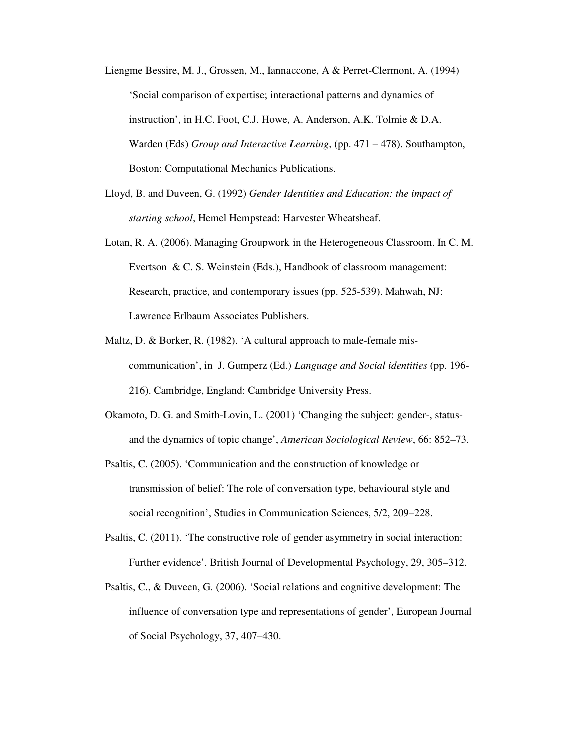- Liengme Bessire, M. J., Grossen, M., Iannaccone, A & Perret-Clermont, A. (1994) 'Social comparison of expertise; interactional patterns and dynamics of instruction', in H.C. Foot, C.J. Howe, A. Anderson, A.K. Tolmie & D.A. Warden (Eds) *Group and Interactive Learning*, (pp. 471 – 478). Southampton, Boston: Computational Mechanics Publications.
- Lloyd, B. and Duveen, G. (1992) *Gender Identities and Education: the impact of starting school*, Hemel Hempstead: Harvester Wheatsheaf.
- Lotan, R. A. (2006). Managing Groupwork in the Heterogeneous Classroom. In C. M. Evertson & C. S. Weinstein (Eds.), Handbook of classroom management: Research, practice, and contemporary issues (pp. 525-539). Mahwah, NJ: Lawrence Erlbaum Associates Publishers.
- Maltz, D. & Borker, R. (1982). 'A cultural approach to male-female miscommunication', in J. Gumperz (Ed.) *Language and Social identities* (pp. 196- 216). Cambridge, England: Cambridge University Press.
- Okamoto, D. G. and Smith-Lovin, L. (2001) 'Changing the subject: gender-, statusand the dynamics of topic change', *American Sociological Review*, 66: 852–73.
- Psaltis, C. (2005). 'Communication and the construction of knowledge or transmission of belief: The role of conversation type, behavioural style and social recognition', Studies in Communication Sciences, 5/2, 209–228.
- Psaltis, C. (2011). 'The constructive role of gender asymmetry in social interaction: Further evidence'. British Journal of Developmental Psychology, 29, 305–312.
- Psaltis, C., & Duveen, G. (2006). 'Social relations and cognitive development: The influence of conversation type and representations of gender', European Journal of Social Psychology, 37, 407–430.